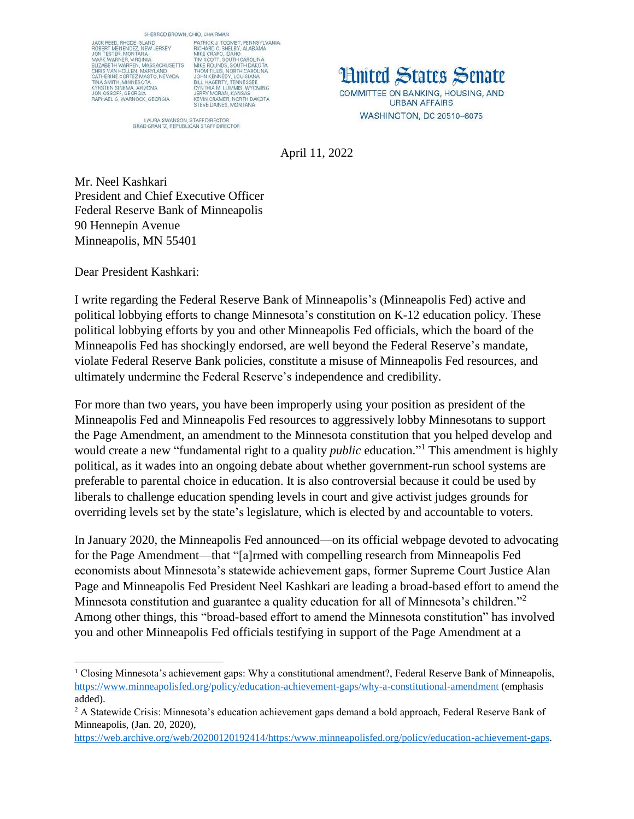SHERROD BROWN, OHIO, CHAIRMAN

JACK REED, RHODE ISLAND JACK REED, RHODE ISLAND<br>ROBERT MENENDEZ, NEW JERSEY<br>JON TESTER, MONTANA JON TESTER, MONTÁNA<br>MARK WARNER, VIRGINIA<br>ELIZABETH WARREN, MASSACHUSETTS<br>CHRIS VAN HOLLEN, MARYLAND<br>CATHERINE CORTEZ MASTO, NEVADA<br>ITNA SMITH, MININESOTA<br>JON OSSOFF, GEORGIA<br>JON OSSOFF, GEORGIA<br>RAPHAEL G. WARNOCK, GEORGIA

DHIO, CHAIRMAN<br>PATRICK J. TOOMEY, PENNSYLVANIA<br>RICHARD C. SHELBY, ALABAMA<br>RICHARD C. SHELBY, ALABAMA<br>TIM SCOTT, SOUTH CAROLINA<br>TIM SCOTT, SOUTH CAROLINA<br>JOHN KENNEDY, LOUISIANA<br>JOHN KENNEDY, LOUISIANA<br>CYNTHIA M. LUMMIS, WY

LAURA SWANSON, STAFF DIRECTOR<br>BRAD GRANTZ, REPUBLICAN STAFF DIRECTOR

**Hnited States Senate** COMMITTEE ON BANKING, HOUSING, AND **URBAN AFFAIRS** WASHINGTON, DC 20510-6075

April 11, 2022

Mr. Neel Kashkari President and Chief Executive Officer Federal Reserve Bank of Minneapolis 90 Hennepin Avenue Minneapolis, MN 55401

Dear President Kashkari:

 $\overline{a}$ 

I write regarding the Federal Reserve Bank of Minneapolis's (Minneapolis Fed) active and political lobbying efforts to change Minnesota's constitution on K-12 education policy. These political lobbying efforts by you and other Minneapolis Fed officials, which the board of the Minneapolis Fed has shockingly endorsed, are well beyond the Federal Reserve's mandate, violate Federal Reserve Bank policies, constitute a misuse of Minneapolis Fed resources, and ultimately undermine the Federal Reserve's independence and credibility.

For more than two years, you have been improperly using your position as president of the Minneapolis Fed and Minneapolis Fed resources to aggressively lobby Minnesotans to support the Page Amendment, an amendment to the Minnesota constitution that you helped develop and would create a new "fundamental right to a quality *public* education." <sup>1</sup> This amendment is highly political, as it wades into an ongoing debate about whether government-run school systems are preferable to parental choice in education. It is also controversial because it could be used by liberals to challenge education spending levels in court and give activist judges grounds for overriding levels set by the state's legislature, which is elected by and accountable to voters.

In January 2020, the Minneapolis Fed announced—on its official webpage devoted to advocating for the Page Amendment—that "[a]rmed with compelling research from Minneapolis Fed economists about Minnesota's statewide achievement gaps, former Supreme Court Justice Alan Page and Minneapolis Fed President Neel Kashkari are leading a broad-based effort to amend the Minnesota constitution and guarantee a quality education for all of Minnesota's children."<sup>2</sup> Among other things, this "broad-based effort to amend the Minnesota constitution" has involved you and other Minneapolis Fed officials testifying in support of the Page Amendment at a

<sup>1</sup> Closing Minnesota's achievement gaps: Why a constitutional amendment?, Federal Reserve Bank of Minneapolis, <https://www.minneapolisfed.org/policy/education-achievement-gaps/why-a-constitutional-amendment> (emphasis added).

<sup>&</sup>lt;sup>2</sup> A Statewide Crisis: Minnesota's education achievement gaps demand a bold approach, Federal Reserve Bank of Minneapolis, (Jan. 20, 2020),

[https://web.archive.org/web/20200120192414/https:/www.minneapolisfed.org/policy/education-achievement-gaps.](https://web.archive.org/web/20200120192414/https:/www.minneapolisfed.org/policy/education-achievement-gaps)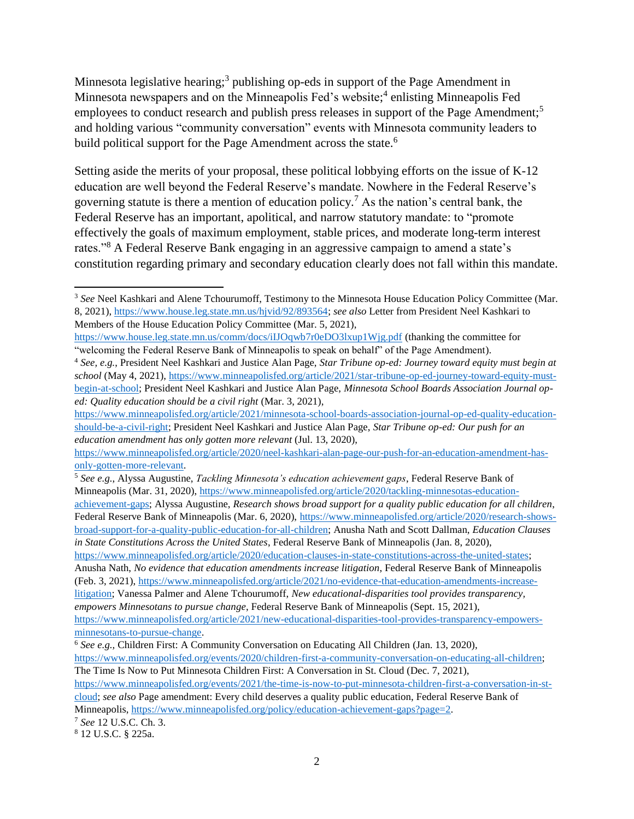Minnesota legislative hearing;<sup>3</sup> publishing op-eds in support of the Page Amendment in Minnesota newspapers and on the Minneapolis Fed's website;<sup>4</sup> enlisting Minneapolis Fed employees to conduct research and publish press releases in support of the Page Amendment;<sup>5</sup> and holding various "community conversation" events with Minnesota community leaders to build political support for the Page Amendment across the state.<sup>6</sup>

Setting aside the merits of your proposal, these political lobbying efforts on the issue of K-12 education are well beyond the Federal Reserve's mandate. Nowhere in the Federal Reserve's governing statute is there a mention of education policy.<sup>7</sup> As the nation's central bank, the Federal Reserve has an important, apolitical, and narrow statutory mandate: to "promote effectively the goals of maximum employment, stable prices, and moderate long-term interest rates."<sup>8</sup> A Federal Reserve Bank engaging in an aggressive campaign to amend a state's constitution regarding primary and secondary education clearly does not fall within this mandate.

[https://www.minneapolisfed.org/article/2020/education-clauses-in-state-constitutions-across-the-united-states;](https://www.minneapolisfed.org/article/2020/education-clauses-in-state-constitutions-across-the-united-states) Anusha Nath, *No evidence that education amendments increase litigation*, Federal Reserve Bank of Minneapolis (Feb. 3, 2021)[, https://www.minneapolisfed.org/article/2021/no-evidence-that-education-amendments-increase](https://www.minneapolisfed.org/article/2021/no-evidence-that-education-amendments-increase-litigation)[litigation;](https://www.minneapolisfed.org/article/2021/no-evidence-that-education-amendments-increase-litigation) Vanessa Palmer and Alene Tchourumoff, *New educational-disparities tool provides transparency, empowers Minnesotans to pursue change*, Federal Reserve Bank of Minneapolis (Sept. 15, 2021), [https://www.minneapolisfed.org/article/2021/new-educational-disparities-tool-provides-transparency-empowers-](https://www.minneapolisfed.org/article/2021/new-educational-disparities-tool-provides-transparency-empowers-minnesotans-to-pursue-change)

[minnesotans-to-pursue-change.](https://www.minneapolisfed.org/article/2021/new-educational-disparities-tool-provides-transparency-empowers-minnesotans-to-pursue-change)

l <sup>3</sup> *See* Neel Kashkari and Alene Tchourumoff, Testimony to the Minnesota House Education Policy Committee (Mar. 8, 2021), [https://www.house.leg.state.mn.us/hjvid/92/893564;](https://www.house.leg.state.mn.us/hjvid/92/893564) *see also* Letter from President Neel Kashkari to Members of the House Education Policy Committee (Mar. 5, 2021),

<https://www.house.leg.state.mn.us/comm/docs/iIJOqwb7r0eDO3lxup1Wjg.pdf> (thanking the committee for "welcoming the Federal Reserve Bank of Minneapolis to speak on behalf" of the Page Amendment).

<sup>4</sup> *See, e.g.*, President Neel Kashkari and Justice Alan Page, *Star Tribune op-ed: Journey toward equity must begin at school* (May 4, 2021), [https://www.minneapolisfed.org/article/2021/star-tribune-op-ed-journey-toward-equity-must](https://www.minneapolisfed.org/article/2021/star-tribune-op-ed-journey-toward-equity-must-begin-at-school)[begin-at-school;](https://www.minneapolisfed.org/article/2021/star-tribune-op-ed-journey-toward-equity-must-begin-at-school) President Neel Kashkari and Justice Alan Page, *Minnesota School Boards Association Journal oped: Quality education should be a civil right* (Mar. 3, 2021),

[https://www.minneapolisfed.org/article/2021/minnesota-school-boards-association-journal-op-ed-quality-education](https://www.minneapolisfed.org/article/2021/minnesota-school-boards-association-journal-op-ed-quality-education-should-be-a-civil-right)[should-be-a-civil-right;](https://www.minneapolisfed.org/article/2021/minnesota-school-boards-association-journal-op-ed-quality-education-should-be-a-civil-right) President Neel Kashkari and Justice Alan Page, *Star Tribune op-ed: Our push for an education amendment has only gotten more relevant* (Jul. 13, 2020),

[https://www.minneapolisfed.org/article/2020/neel-kashkari-alan-page-our-push-for-an-education-amendment-has](https://www.minneapolisfed.org/article/2020/neel-kashkari-alan-page-our-push-for-an-education-amendment-has-only-gotten-more-relevant)[only-gotten-more-relevant.](https://www.minneapolisfed.org/article/2020/neel-kashkari-alan-page-our-push-for-an-education-amendment-has-only-gotten-more-relevant)

<sup>5</sup> *See e.g.*, Alyssa Augustine, *Tackling Minnesota's education achievement gaps*, Federal Reserve Bank of Minneapolis (Mar. 31, 2020), [https://www.minneapolisfed.org/article/2020/tackling-minnesotas-education](https://www.minneapolisfed.org/article/2020/tackling-minnesotas-education-achievement-gaps)[achievement-gaps;](https://www.minneapolisfed.org/article/2020/tackling-minnesotas-education-achievement-gaps) Alyssa Augustine, *Research shows broad support for a quality public education for all children*, Federal Reserve Bank of Minneapolis (Mar. 6, 2020), [https://www.minneapolisfed.org/article/2020/research-shows](https://www.minneapolisfed.org/article/2020/research-shows-broad-support-for-a-quality-public-education-for-all-children)[broad-support-for-a-quality-public-education-for-all-children;](https://www.minneapolisfed.org/article/2020/research-shows-broad-support-for-a-quality-public-education-for-all-children) Anusha Nath and Scott Dallman, *Education Clauses in State Constitutions Across the United States*, Federal Reserve Bank of Minneapolis (Jan. 8, 2020),

<sup>6</sup> *See e.g.,* Children First: A Community Conversation on Educating All Children (Jan. 13, 2020),

[https://www.minneapolisfed.org/events/2020/children-first-a-community-conversation-on-educating-all-children;](https://www.minneapolisfed.org/events/2020/children-first-a-community-conversation-on-educating-all-children) The Time Is Now to Put Minnesota Children First: A Conversation in St. Cloud (Dec. 7, 2021),

[https://www.minneapolisfed.org/events/2021/the-time-is-now-to-put-minnesota-children-first-a-conversation-in-st](https://www.minneapolisfed.org/events/2021/the-time-is-now-to-put-minnesota-children-first-a-conversation-in-st-cloud)[cloud;](https://www.minneapolisfed.org/events/2021/the-time-is-now-to-put-minnesota-children-first-a-conversation-in-st-cloud) *see also* Page amendment: Every child deserves a quality public education, Federal Reserve Bank of Minneapolis, [https://www.minneapolisfed.org/policy/education-achievement-gaps?page=2.](https://www.minneapolisfed.org/policy/education-achievement-gaps?page=2)

<sup>7</sup> *See* 12 U.S.C. Ch. 3.

<sup>8</sup> 12 U.S.C. § 225a.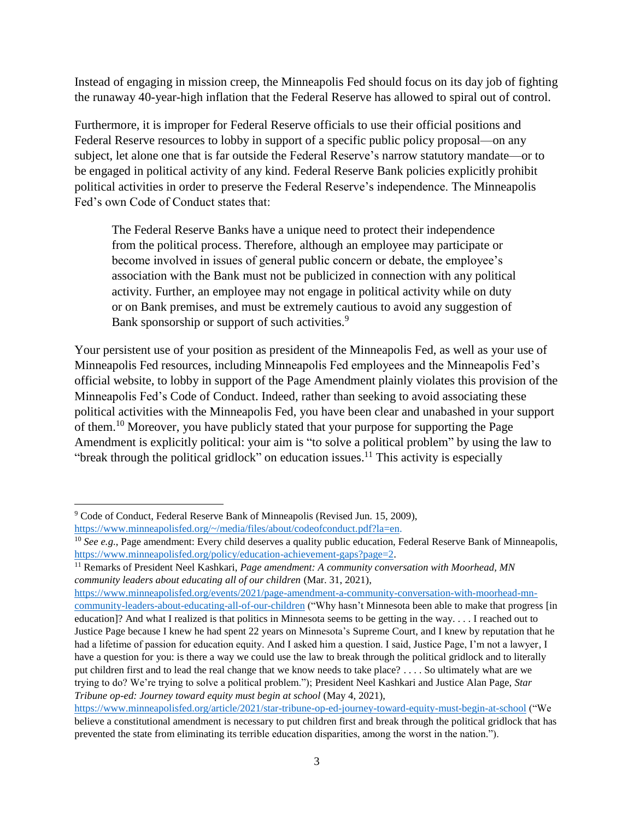Instead of engaging in mission creep, the Minneapolis Fed should focus on its day job of fighting the runaway 40-year-high inflation that the Federal Reserve has allowed to spiral out of control.

Furthermore, it is improper for Federal Reserve officials to use their official positions and Federal Reserve resources to lobby in support of a specific public policy proposal—on any subject, let alone one that is far outside the Federal Reserve's narrow statutory mandate—or to be engaged in political activity of any kind. Federal Reserve Bank policies explicitly prohibit political activities in order to preserve the Federal Reserve's independence. The Minneapolis Fed's own Code of Conduct states that:

The Federal Reserve Banks have a unique need to protect their independence from the political process. Therefore, although an employee may participate or become involved in issues of general public concern or debate, the employee's association with the Bank must not be publicized in connection with any political activity. Further, an employee may not engage in political activity while on duty or on Bank premises, and must be extremely cautious to avoid any suggestion of Bank sponsorship or support of such activities.<sup>9</sup>

Your persistent use of your position as president of the Minneapolis Fed, as well as your use of Minneapolis Fed resources, including Minneapolis Fed employees and the Minneapolis Fed's official website, to lobby in support of the Page Amendment plainly violates this provision of the Minneapolis Fed's Code of Conduct. Indeed, rather than seeking to avoid associating these political activities with the Minneapolis Fed, you have been clear and unabashed in your support of them.<sup>10</sup> Moreover, you have publicly stated that your purpose for supporting the Page Amendment is explicitly political: your aim is "to solve a political problem" by using the law to "break through the political gridlock" on education issues.<sup>11</sup> This activity is especially

l

[https://www.minneapolisfed.org/events/2021/page-amendment-a-community-conversation-with-moorhead-mn](https://www.minneapolisfed.org/events/2021/page-amendment-a-community-conversation-with-moorhead-mn-community-leaders-about-educating-all-of-our-children)[community-leaders-about-educating-all-of-our-children](https://www.minneapolisfed.org/events/2021/page-amendment-a-community-conversation-with-moorhead-mn-community-leaders-about-educating-all-of-our-children) ("Why hasn't Minnesota been able to make that progress [in education]? And what I realized is that politics in Minnesota seems to be getting in the way. . . . I reached out to Justice Page because I knew he had spent 22 years on Minnesota's Supreme Court, and I knew by reputation that he had a lifetime of passion for education equity. And I asked him a question. I said, Justice Page, I'm not a lawyer, I have a question for you: is there a way we could use the law to break through the political gridlock and to literally put children first and to lead the real change that we know needs to take place? . . . . So ultimately what are we trying to do? We're trying to solve a political problem."); President Neel Kashkari and Justice Alan Page, *Star Tribune op-ed: Journey toward equity must begin at school* (May 4, 2021),

<sup>9</sup> Code of Conduct, Federal Reserve Bank of Minneapolis (Revised Jun. 15, 2009),

[https://www.minneapolisfed.org/~/media/files/about/codeofconduct.pdf?la=en.](https://www.minneapolisfed.org/~/media/files/about/codeofconduct.pdf?la=en)

<sup>&</sup>lt;sup>10</sup> *See e.g.*, Page amendment: Every child deserves a quality public education, Federal Reserve Bank of Minneapolis, [https://www.minneapolisfed.org/policy/education-achievement-gaps?page=2.](https://www.minneapolisfed.org/policy/education-achievement-gaps?page=2)

<sup>&</sup>lt;sup>11</sup> Remarks of President Neel Kashkari, *Page amendment: A community conversation with Moorhead, MN community leaders about educating all of our children* (Mar. 31, 2021),

<https://www.minneapolisfed.org/article/2021/star-tribune-op-ed-journey-toward-equity-must-begin-at-school> ("We believe a constitutional amendment is necessary to put children first and break through the political gridlock that has prevented the state from eliminating its terrible education disparities, among the worst in the nation.").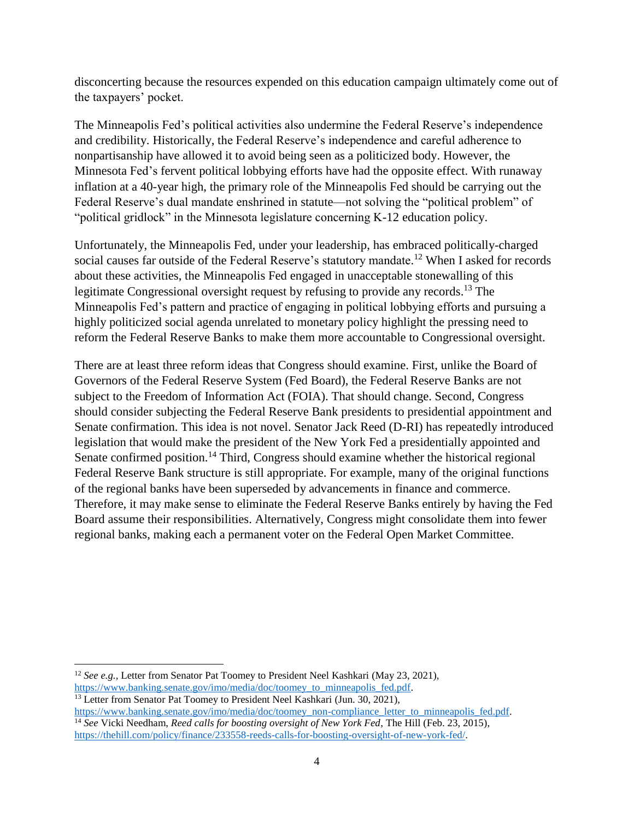disconcerting because the resources expended on this education campaign ultimately come out of the taxpayers' pocket.

The Minneapolis Fed's political activities also undermine the Federal Reserve's independence and credibility. Historically, the Federal Reserve's independence and careful adherence to nonpartisanship have allowed it to avoid being seen as a politicized body. However, the Minnesota Fed's fervent political lobbying efforts have had the opposite effect. With runaway inflation at a 40-year high, the primary role of the Minneapolis Fed should be carrying out the Federal Reserve's dual mandate enshrined in statute—not solving the "political problem" of "political gridlock" in the Minnesota legislature concerning K-12 education policy.

Unfortunately, the Minneapolis Fed, under your leadership, has embraced politically-charged social causes far outside of the Federal Reserve's statutory mandate.<sup>12</sup> When I asked for records about these activities, the Minneapolis Fed engaged in unacceptable stonewalling of this legitimate Congressional oversight request by refusing to provide any records.<sup>13</sup> The Minneapolis Fed's pattern and practice of engaging in political lobbying efforts and pursuing a highly politicized social agenda unrelated to monetary policy highlight the pressing need to reform the Federal Reserve Banks to make them more accountable to Congressional oversight.

There are at least three reform ideas that Congress should examine. First, unlike the Board of Governors of the Federal Reserve System (Fed Board), the Federal Reserve Banks are not subject to the Freedom of Information Act (FOIA). That should change. Second, Congress should consider subjecting the Federal Reserve Bank presidents to presidential appointment and Senate confirmation. This idea is not novel. Senator Jack Reed (D-RI) has repeatedly introduced legislation that would make the president of the New York Fed a presidentially appointed and Senate confirmed position.<sup>14</sup> Third, Congress should examine whether the historical regional Federal Reserve Bank structure is still appropriate. For example, many of the original functions of the regional banks have been superseded by advancements in finance and commerce. Therefore, it may make sense to eliminate the Federal Reserve Banks entirely by having the Fed Board assume their responsibilities. Alternatively, Congress might consolidate them into fewer regional banks, making each a permanent voter on the Federal Open Market Committee.

l

<sup>12</sup> *See e.g.*, Letter from Senator Pat Toomey to President Neel Kashkari (May 23, 2021), [https://www.banking.senate.gov/imo/media/doc/toomey\\_to\\_minneapolis\\_fed.pdf.](https://www.banking.senate.gov/imo/media/doc/toomey_to_minneapolis_fed.pdf) <sup>13</sup> Letter from Senator Pat Toomey to President Neel Kashkari (Jun. 30, 2021),

[https://www.banking.senate.gov/imo/media/doc/toomey\\_non-compliance\\_letter\\_to\\_minneapolis\\_fed.pdf.](https://www.banking.senate.gov/imo/media/doc/toomey_non-compliance_letter_to_minneapolis_fed.pdf) <sup>14</sup> *See* Vicki Needham, *Reed calls for boosting oversight of New York Fed*, The Hill (Feb. 23, 2015), [https://thehill.com/policy/finance/233558-reeds-calls-for-boosting-oversight-of-new-york-fed/.](https://thehill.com/policy/finance/233558-reeds-calls-for-boosting-oversight-of-new-york-fed/)